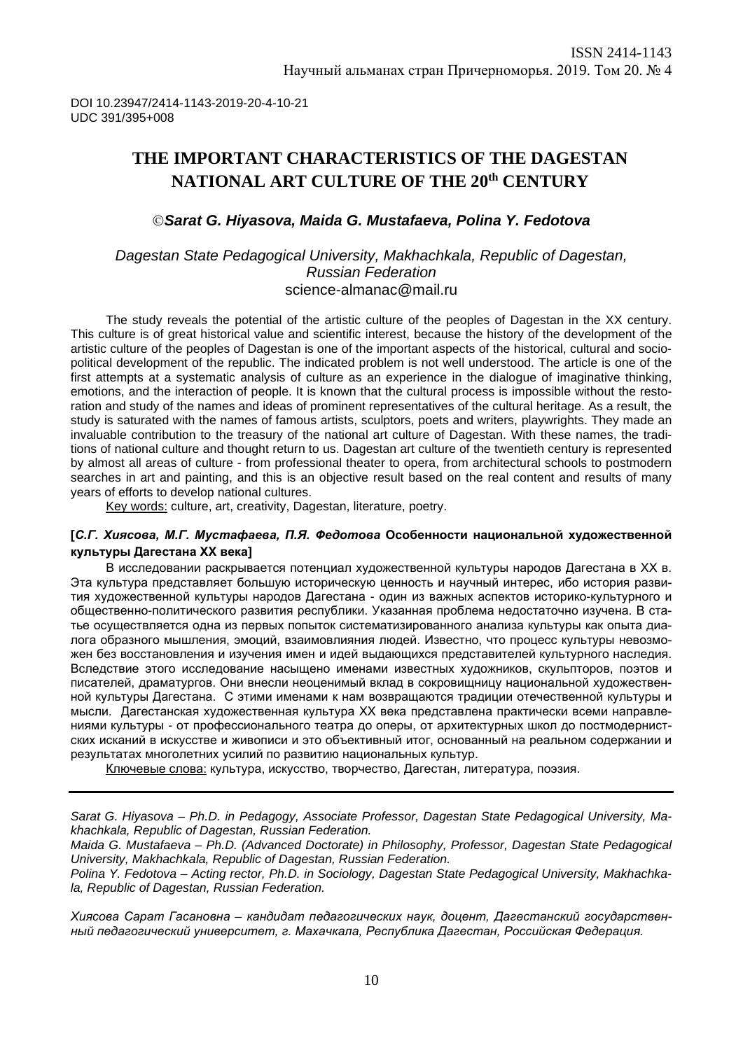# **THE IMPORTANT CHARACTERISTICS OF THE DAGESTAN NATIONAL ART CULTURE OF THE 20th CENTURY**

*Sarat G. Hiyasova, Maida G. Mustafaeva, Polina Y. Fedotova*

#### *Dagestan State Pedagogical University, Makhachkala, Republic of Dagestan, Russian Federation* [science-almanac@mail.ru](mailto:science-almanac@mail.ru)

The study reveals the potential of the artistic culture of the peoples of Dagestan in the XX century. This culture is of great historical value and scientific interest, because the history of the development of the artistic culture of the peoples of Dagestan is one of the important aspects of the historical, cultural and sociopolitical development of the republic. The indicated problem is not well understood. The article is one of the first attempts at a systematic analysis of culture as an experience in the dialogue of imaginative thinking, emotions, and the interaction of people. It is known that the cultural process is impossible without the restoration and study of the names and ideas of prominent representatives of the cultural heritage. As a result, the study is saturated with the names of famous artists, sculptors, poets and writers, playwrights. They made an invaluable contribution to the treasury of the national art culture of Dagestan. With these names, the traditions of national culture and thought return to us. Dagestan art culture of the twentieth century is represented by almost all areas of culture - from professional theater to opera, from architectural schools to postmodern searches in art and painting, and this is an objective result based on the real content and results of many years of efforts to develop national cultures.

Key words: culture, art, creativity, Dagestan, literature, poetry.

#### **[***С.Г. Хиясова, М.Г. Мустафаева, П.Я. Федотова* **Особенности национальной художественной культуры Дагестана XX века]**

В исследовании раскрывается потенциал художественной культуры народов Дагестана в XX в. Эта культура представляет большую историческую ценность и научный интерес, ибо история развития художественной культуры народов Дагестана - один из важных аспектов историко-культурного и общественно-политического развития республики. Указанная проблема недостаточно изучена. В статье осуществляется одна из первых попыток систематизированного анализа культуры как опыта диалога образного мышления, эмоций, взаимовлияния людей. Известно, что процесс культуры невозможен без восстановления и изучения имен и идей выдающихся представителей культурного наследия. Вследствие этого исследование насыщено именами известных художников, скульпторов, поэтов и писателей, драматургов. Они внесли неоценимый вклад в сокровищницу национальной художественной культуры Дагестана. С этими именами к нам возвращаются традиции отечественной культуры и мысли. Дагестанская художественная культура ХХ века представлена практически всеми направлениями культуры - от профессионального театра до оперы, от архитектурных школ до постмодернистских исканий в искусстве и живописи и это объективный итог, основанный на реальном содержании и результатах многолетних усилий по развитию национальных культур.

Ключевые слова: культура, искусство, творчество, Дагестан, литература, поэзия.

*Sarat G. Hiyasova – Ph.D. in Pedagogy, Associate Professor, Dagestan State Pedagogical University, Makhachkala, Republic of Dagestan, Russian Federation.*

*Maida G. Mustafaeva – Ph.D. (Advanced Doctorate) in Philosophy, Professor, Dagestan State Pedagogical University, Makhachkala, Republic of Dagestan, Russian Federation.*

*Polina Y. Fedotova – Acting rector, Ph.D. in Sociology, Dagestan State Pedagogical University, Makhachkala, Republic of Dagestan, Russian Federation.*

*Хиясова Сарат Гасановна – кандидат педагогических наук, доцент, Дагестанский государственный педагогический университет, г. Махачкала, Республика Дагестан, Российская Федерация.*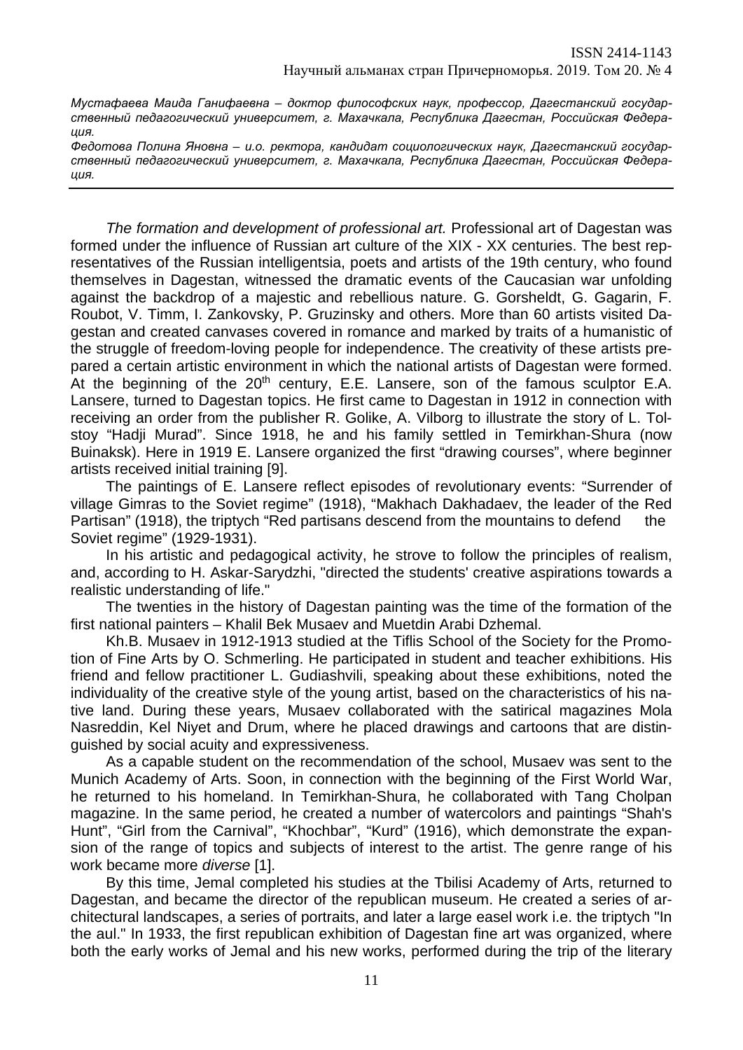*Мустафаева Маида Ганифаевна – доктор философских наук, профессор, Дагестанский государственный педагогический университет, г. Махачкала, Республика Дагестан, Российская Федерация.*

*Федотова Полина Яновна – и.о. ректора, кандидат социологических наук, Дагестанский государственный педагогический университет, г. Махачкала, Республика Дагестан, Российская Федерация.*

*The formation and development of professional art.* Professional art of Dagestan was formed under the influence of Russian art culture of the XIX - XX centuries. The best representatives of the Russian intelligentsia, poets and artists of the 19th century, who found themselves in Dagestan, witnessed the dramatic events of the Caucasian war unfolding against the backdrop of a majestic and rebellious nature. G. Gorsheldt, G. Gagarin, F. Roubot, V. Timm, I. Zankovsky, P. Gruzinsky and others. More than 60 artists visited Dagestan and created canvases covered in romance and marked by traits of a humanistic of the struggle of freedom-loving people for independence. The creativity of these artists prepared a certain artistic environment in which the national artists of Dagestan were formed. At the beginning of the  $20<sup>th</sup>$  century, E.E. Lansere, son of the famous sculptor E.A. Lansere, turned to Dagestan topics. He first came to Dagestan in 1912 in connection with receiving an order from the publisher R. Golike, A. Vilborg to illustrate the story of L. Tolstoy "Hadji Murad". Since 1918, he and his family settled in Temirkhan-Shura (now Buinaksk). Here in 1919 E. Lansere organized the first "drawing courses", where beginner artists received initial training [9].

The paintings of E. Lansere reflect episodes of revolutionary events: "Surrender of village Gimras to the Soviet regime" (1918), "Makhach Dakhadaev, the leader of the Red Partisan" (1918), the triptych "Red partisans descend from the mountains to defend Soviet regime" (1929-1931).

In his artistic and pedagogical activity, he strove to follow the principles of realism, and, according to H. Askar-Sarydzhi, "directed the students' creative aspirations towards a realistic understanding of life."

The twenties in the history of Dagestan painting was the time of the formation of the first national painters – Khalil Bek Musaev and Muetdin Arabi Dzhemal.

Kh.B. Musaev in 1912-1913 studied at the Tiflis School of the Society for the Promotion of Fine Arts by O. Schmerling. He participated in student and teacher exhibitions. His friend and fellow practitioner L. Gudiashvili, speaking about these exhibitions, noted the individuality of the creative style of the young artist, based on the characteristics of his native land. During these years, Musaev collaborated with the satirical magazines Mola Nasreddin, Kel Niyet and Drum, where he placed drawings and cartoons that are distinguished by social acuity and expressiveness.

As a capable student on the recommendation of the school, Musaev was sent to the Munich Academy of Arts. Soon, in connection with the beginning of the First World War, he returned to his homeland. In Temirkhan-Shura, he collaborated with Tang Cholpan magazine. In the same period, he created a number of watercolors and paintings "Shah's Hunt", "Girl from the Carnival", "Khochbar", "Kurd" (1916), which demonstrate the expansion of the range of topics and subjects of interest to the artist. The genre range of his work became more *diverse* [1].

By this time, Jemal completed his studies at the Tbilisi Academy of Arts, returned to Dagestan, and became the director of the republican museum. He created a series of architectural landscapes, a series of portraits, and later a large easel work i.e. the triptych "In the aul." In 1933, the first republican exhibition of Dagestan fine art was organized, where both the early works of Jemal and his new works, performed during the trip of the literary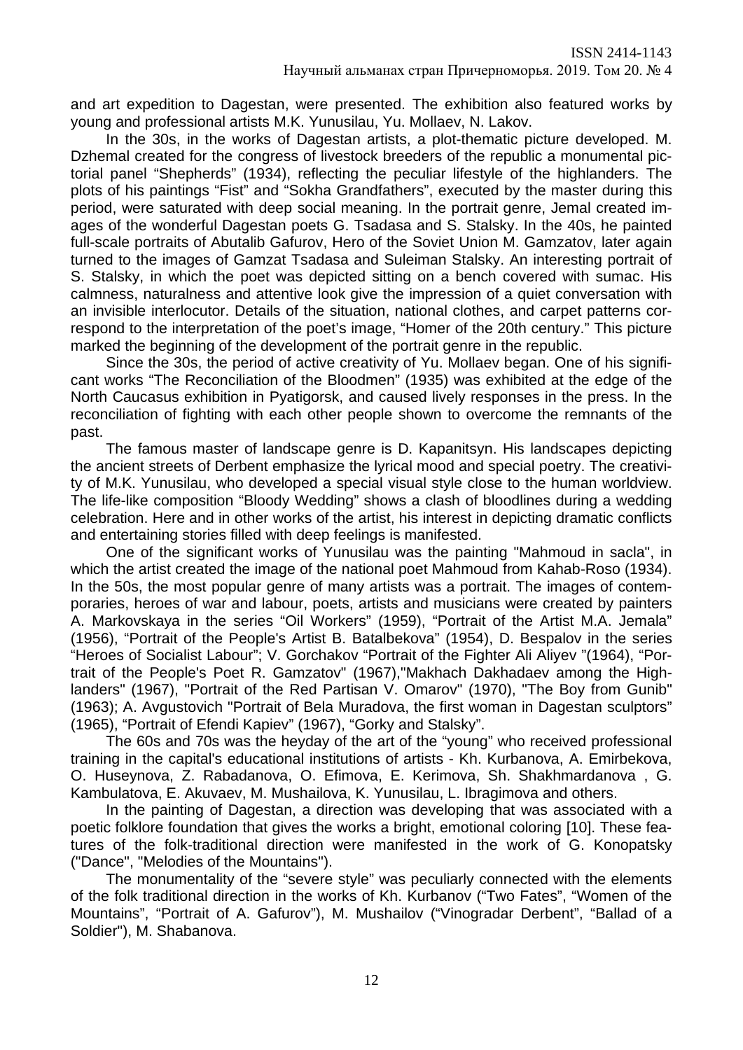and art expedition to Dagestan, were presented. The exhibition also featured works by young and professional artists M.K. Yunusilau, Yu. Mollaev, N. Lakov.

In the 30s, in the works of Dagestan artists, a plot-thematic picture developed. M. Dzhemal created for the congress of livestock breeders of the republic a monumental pictorial panel "Shepherds" (1934), reflecting the peculiar lifestyle of the highlanders. The plots of his paintings "Fist" and "Sokha Grandfathers", executed by the master during this period, were saturated with deep social meaning. In the portrait genre, Jemal created images of the wonderful Dagestan poets G. Tsadasa and S. Stalsky. In the 40s, he painted full-scale portraits of Abutalib Gafurov, Hero of the Soviet Union M. Gamzatov, later again turned to the images of Gamzat Tsadasa and Suleiman Stalsky. An interesting portrait of S. Stalsky, in which the poet was depicted sitting on a bench covered with sumac. His calmness, naturalness and attentive look give the impression of a quiet conversation with an invisible interlocutor. Details of the situation, national clothes, and carpet patterns correspond to the interpretation of the poet's image, "Homer of the 20th century." This picture marked the beginning of the development of the portrait genre in the republic.

Since the 30s, the period of active creativity of Yu. Mollaev began. One of his significant works "The Reconciliation of the Bloodmen" (1935) was exhibited at the edge of the North Caucasus exhibition in Pyatigorsk, and caused lively responses in the press. In the reconciliation of fighting with each other people shown to overcome the remnants of the past.

The famous master of landscape genre is D. Kapanitsyn. His landscapes depicting the ancient streets of Derbent emphasize the lyrical mood and special poetry. The creativity of M.K. Yunusilau, who developed a special visual style close to the human worldview. The life-like composition "Bloody Wedding" shows a clash of bloodlines during a wedding celebration. Here and in other works of the artist, his interest in depicting dramatic conflicts and entertaining stories filled with deep feelings is manifested.

One of the significant works of Yunusilau was the painting "Mahmoud in sacla", in which the artist created the image of the national poet Mahmoud from Kahab-Roso (1934). In the 50s, the most popular genre of many artists was a portrait. The images of contemporaries, heroes of war and labour, poets, artists and musicians were created by painters A. Markovskaya in the series "Oil Workers" (1959), "Portrait of the Artist M.A. Jemala" (1956), "Portrait of the People's Artist B. Batalbekova" (1954), D. Bespalov in the series "Heroes of Socialist Labour"; V. Gorchakov "Portrait of the Fighter Ali Aliyev "(1964), "Portrait of the People's Poet R. Gamzatov" (1967),"Makhach Dakhadaev among the Highlanders" (1967), "Portrait of the Red Partisan V. Omarov" (1970), "The Boy from Gunib" (1963); A. Avgustovich "Portrait of Bela Muradova, the first woman in Dagestan sculptors" (1965), "Portrait of Efendi Kapiev" (1967), "Gorky and Stalsky".

The 60s and 70s was the heyday of the art of the "young" who received professional training in the capital's educational institutions of artists - Kh. Kurbanova, A. Emirbekova, O. Huseynova, Z. Rabadanova, O. Efimova, E. Kerimova, Sh. Shakhmardanova , G. Kambulatova, E. Akuvaev, M. Mushailova, K. Yunusilau, L. Ibragimova and others.

In the painting of Dagestan, a direction was developing that was associated with a poetic folklore foundation that gives the works a bright, emotional coloring [10]. These features of the folk-traditional direction were manifested in the work of G. Konopatsky ("Dance", "Melodies of the Mountains").

The monumentality of the "severe style" was peculiarly connected with the elements of the folk traditional direction in the works of Kh. Kurbanov ("Two Fates", "Women of the Mountains", "Portrait of A. Gafurov"), M. Mushailov ("Vinogradar Derbent", "Ballad of a Soldier"), M. Shabanova.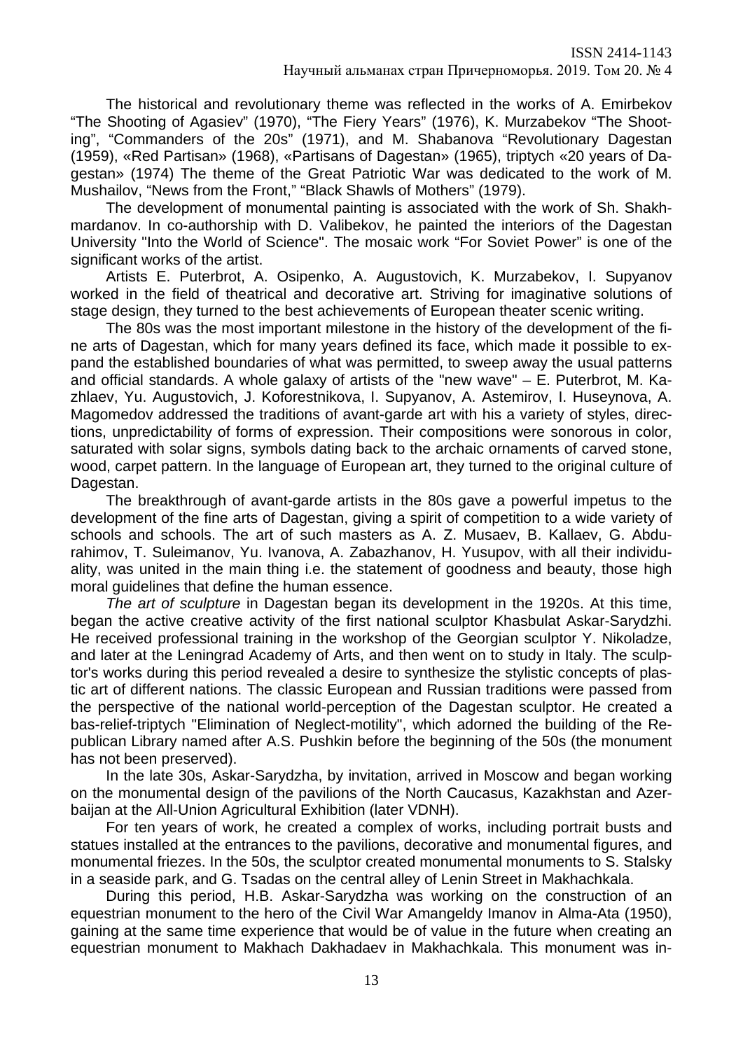The historical and revolutionary theme was reflected in the works of A. Emirbekov "The Shooting of Agasiev" (1970), "The Fiery Years" (1976), K. Murzabekov "The Shooting", "Commanders of the 20s" (1971), and M. Shabanova "Revolutionary Dagestan (1959), «Red Partisan» (1968), «Partisans of Dagestan» (1965), triptych «20 years of Dagestan» (1974) The theme of the Great Patriotic War was dedicated to the work of M. Mushailov, "News from the Front," "Black Shawls of Mothers" (1979).

The development of monumental painting is associated with the work of Sh. Shakhmardanov. In co-authorship with D. Valibekov, he painted the interiors of the Dagestan University "Into the World of Science". The mosaic work "For Soviet Power" is one of the significant works of the artist.

Artists E. Puterbrot, A. Osipenko, A. Augustovich, K. Murzabekov, I. Supyanov worked in the field of theatrical and decorative art. Striving for imaginative solutions of stage design, they turned to the best achievements of European theater scenic writing.

The 80s was the most important milestone in the history of the development of the fine arts of Dagestan, which for many years defined its face, which made it possible to expand the established boundaries of what was permitted, to sweep away the usual patterns and official standards. A whole galaxy of artists of the "new wave" – E. Puterbrot, M. Kazhlaev, Yu. Augustovich, J. Koforestnikova, I. Supyanov, A. Astemirov, I. Huseynova, A. Magomedov addressed the traditions of avant-garde art with his a variety of styles, directions, unpredictability of forms of expression. Their compositions were sonorous in color, saturated with solar signs, symbols dating back to the archaic ornaments of carved stone, wood, carpet pattern. In the language of European art, they turned to the original culture of Dagestan.

The breakthrough of avant-garde artists in the 80s gave a powerful impetus to the development of the fine arts of Dagestan, giving a spirit of competition to a wide variety of schools and schools. The art of such masters as A. Z. Musaev, B. Kallaev, G. Abdurahimov, T. Suleimanov, Yu. Ivanova, A. Zabazhanov, H. Yusupov, with all their individuality, was united in the main thing i.e. the statement of goodness and beauty, those high moral guidelines that define the human essence.

*The art of sculpture* in Dagestan began its development in the 1920s. At this time, began the active creative activity of the first national sculptor Khasbulat Askar-Sarydzhi. He received professional training in the workshop of the Georgian sculptor Y. Nikoladze, and later at the Leningrad Academy of Arts, and then went on to study in Italy. The sculptor's works during this period revealed a desire to synthesize the stylistic concepts of plastic art of different nations. The classic European and Russian traditions were passed from the perspective of the national world-perception of the Dagestan sculptor. He created a bas-relief-triptych "Elimination of Neglect-motility", which adorned the building of the Republican Library named after A.S. Pushkin before the beginning of the 50s (the monument has not been preserved).

In the late 30s, Askar-Sarydzha, by invitation, arrived in Moscow and began working on the monumental design of the pavilions of the North Caucasus, Kazakhstan and Azerbaijan at the All-Union Agricultural Exhibition (later VDNH).

For ten years of work, he created a complex of works, including portrait busts and statues installed at the entrances to the pavilions, decorative and monumental figures, and monumental friezes. In the 50s, the sculptor created monumental monuments to S. Stalsky in a seaside park, and G. Tsadas on the central alley of Lenin Street in Makhachkala.

During this period, H.B. Askar-Sarydzha was working on the construction of an equestrian monument to the hero of the Civil War Amangeldy Imanov in Alma-Ata (1950), gaining at the same time experience that would be of value in the future when creating an equestrian monument to Makhach Dakhadaev in Makhachkala. This monument was in-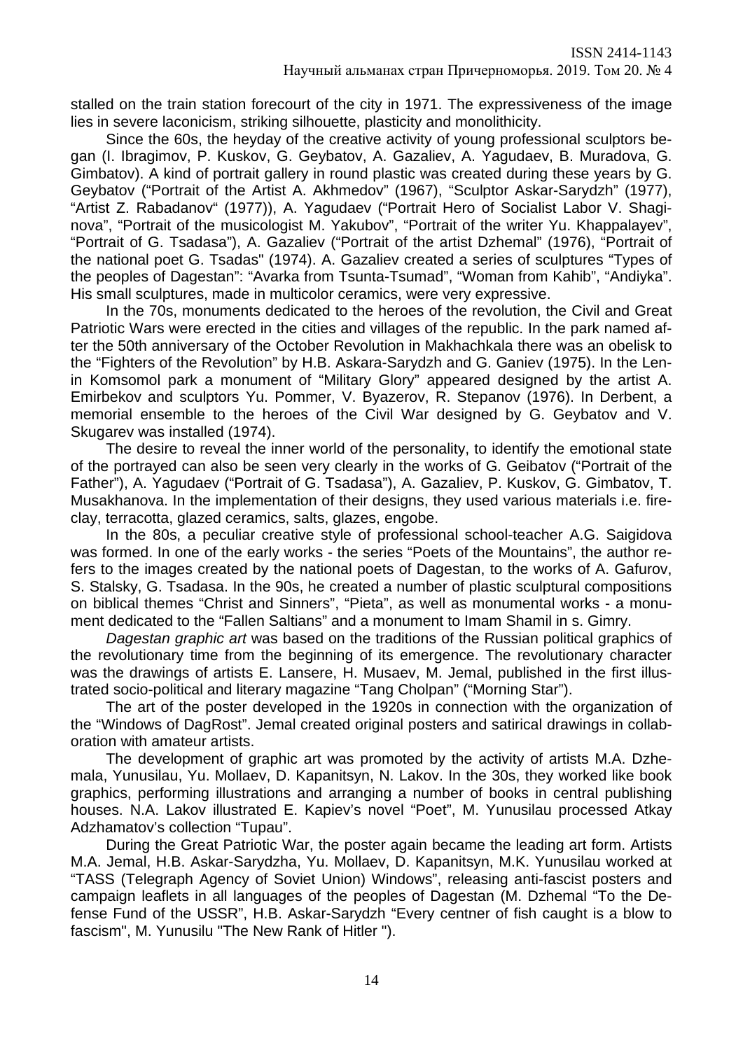stalled on the train station forecourt of the city in 1971. The expressiveness of the image lies in severe laconicism, striking silhouette, plasticity and monolithicity.

Since the 60s, the heyday of the creative activity of young professional sculptors began (I. Ibragimov, P. Kuskov, G. Geybatov, A. Gazaliev, A. Yagudaev, B. Muradova, G. Gimbatov). A kind of portrait gallery in round plastic was created during these years by G. Geybatov ("Portrait of the Artist A. Akhmedov" (1967), "Sculptor Askar-Sarydzh" (1977), "Artist Z. Rabadanov" (1977)), A. Yagudaev ("Portrait Hero of Socialist Labor V. Shaginova", "Portrait of the musicologist M. Yakubov", "Portrait of the writer Yu. Khappalayev", "Portrait of G. Tsadasa"), A. Gazaliev ("Portrait of the artist Dzhemal" (1976), "Portrait of the national poet G. Tsadas" (1974). A. Gazaliev created a series of sculptures "Types of the peoples of Dagestan": "Avarka from Tsunta-Tsumad", "Woman from Kahib", "Andiyka". His small sculptures, made in multicolor ceramics, were very expressive.

In the 70s, monuments dedicated to the heroes of the revolution, the Civil and Great Patriotic Wars were erected in the cities and villages of the republic. In the park named after the 50th anniversary of the October Revolution in Makhachkala there was an obelisk to the "Fighters of the Revolution" by H.B. Askara-Sarydzh and G. Ganiev (1975). In the Lenin Komsomol park a monument of "Military Glory" appeared designed by the artist A. Emirbekov and sculptors Yu. Pommer, V. Byazerov, R. Stepanov (1976). In Derbent, a memorial ensemble to the heroes of the Civil War designed by G. Geybatov and V. Skugarev was installed (1974).

The desire to reveal the inner world of the personality, to identify the emotional state of the portrayed can also be seen very clearly in the works of G. Geibatov ("Portrait of the Father"), A. Yagudaev ("Portrait of G. Tsadasa"), A. Gazaliev, P. Kuskov, G. Gimbatov, T. Musakhanova. In the implementation of their designs, they used various materials i.e. fireclay, terracotta, glazed ceramics, salts, glazes, engobe.

In the 80s, a peculiar creative style of professional school-teacher A.G. Saigidova was formed. In one of the early works - the series "Poets of the Mountains", the author refers to the images created by the national poets of Dagestan, to the works of A. Gafurov, S. Stalsky, G. Tsadasa. In the 90s, he created a number of plastic sculptural compositions on biblical themes "Christ and Sinners", "Pieta", as well as monumental works - a monument dedicated to the "Fallen Saltians" and a monument to Imam Shamil in s. Gimry.

*Dagestan graphic art* was based on the traditions of the Russian political graphics of the revolutionary time from the beginning of its emergence. The revolutionary character was the drawings of artists E. Lansere, H. Musaev, M. Jemal, published in the first illustrated socio-political and literary magazine "Tang Cholpan" ("Morning Star").

The art of the poster developed in the 1920s in connection with the organization of the "Windows of DagRost". Jemal created original posters and satirical drawings in collaboration with amateur artists.

The development of graphic art was promoted by the activity of artists M.A. Dzhemala, Yunusilau, Yu. Mollaev, D. Kapanitsyn, N. Lakov. In the 30s, they worked like book graphics, performing illustrations and arranging a number of books in central publishing houses. N.A. Lakov illustrated E. Kapiev's novel "Poet", M. Yunusilau processed Atkay Adzhamatov's collection "Tupau".

During the Great Patriotic War, the poster again became the leading art form. Artists M.A. Jemal, H.B. Askar-Sarydzha, Yu. Mollaev, D. Kapanitsyn, M.K. Yunusilau worked at "TASS (Telegraph Agency of Soviet Union) Windows", releasing anti-fascist posters and campaign leaflets in all languages of the peoples of Dagestan (M. Dzhemal "To the Defense Fund of the USSR", H.B. Askar-Sarydzh "Every centner of fish caught is a blow to fascism", M. Yunusilu "The New Rank of Hitler ").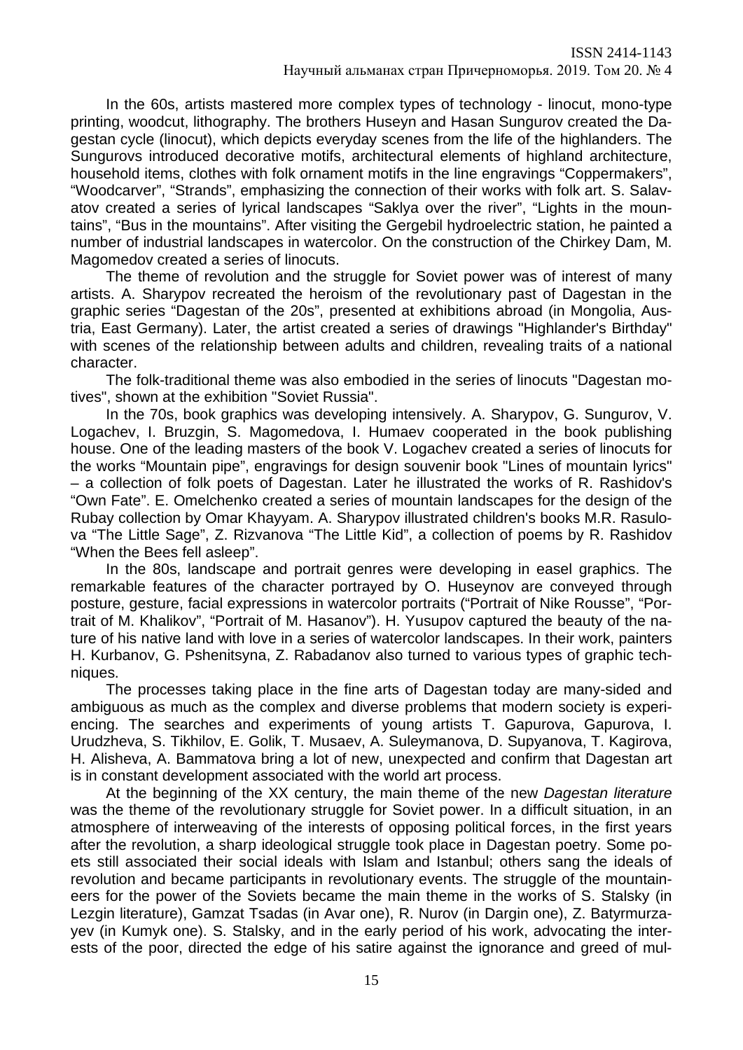In the 60s, artists mastered more complex types of technology - linocut, mono-type printing, woodcut, lithography. The brothers Huseyn and Hasan Sungurov created the Dagestan cycle (linocut), which depicts everyday scenes from the life of the highlanders. The Sungurovs introduced decorative motifs, architectural elements of highland architecture, household items, clothes with folk ornament motifs in the line engravings "Coppermakers", "Woodcarver", "Strands", emphasizing the connection of their works with folk art. S. Salavatov created a series of lyrical landscapes "Saklya over the river", "Lights in the mountains", "Bus in the mountains". After visiting the Gergebil hydroelectric station, he painted a number of industrial landscapes in watercolor. On the construction of the Chirkey Dam, M. Magomedov created a series of linocuts.

The theme of revolution and the struggle for Soviet power was of interest of many artists. A. Sharypov recreated the heroism of the revolutionary past of Dagestan in the graphic series "Dagestan of the 20s", presented at exhibitions abroad (in Mongolia, Austria, East Germany). Later, the artist created a series of drawings "Highlander's Birthday" with scenes of the relationship between adults and children, revealing traits of a national character.

The folk-traditional theme was also embodied in the series of linocuts "Dagestan motives", shown at the exhibition "Soviet Russia".

In the 70s, book graphics was developing intensively. A. Sharypov, G. Sungurov, V. Logachev, I. Bruzgin, S. Magomedova, I. Humaev cooperated in the book publishing house. One of the leading masters of the book V. Logachev created a series of linocuts for the works "Mountain pipe", engravings for design souvenir book "Lines of mountain lyrics" – a collection of folk poets of Dagestan. Later he illustrated the works of R. Rashidov's "Own Fate". E. Omelchenko created a series of mountain landscapes for the design of the Rubay collection by Omar Khayyam. A. Sharypov illustrated children's books M.R. Rasulova "The Little Sage", Z. Rizvanova "The Little Kid", a collection of poems by R. Rashidov "When the Bees fell asleep".

In the 80s, landscape and portrait genres were developing in easel graphics. The remarkable features of the character portrayed by O. Huseynov are conveyed through posture, gesture, facial expressions in watercolor portraits ("Portrait of Nike Rousse", "Portrait of M. Khalikov", "Portrait of M. Hasanov"). H. Yusupov captured the beauty of the nature of his native land with love in a series of watercolor landscapes. In their work, painters H. Kurbanov, G. Pshenitsyna, Z. Rabadanov also turned to various types of graphic techniques.

The processes taking place in the fine arts of Dagestan today are many-sided and ambiguous as much as the complex and diverse problems that modern society is experiencing. The searches and experiments of young artists T. Gapurova, Gapurova, I. Urudzheva, S. Tikhilov, E. Golik, T. Musaev, A. Suleymanova, D. Supyanova, T. Kagirova, H. Alisheva, A. Bammatova bring a lot of new, unexpected and confirm that Dagestan art is in constant development associated with the world art process.

At the beginning of the XX century, the main theme of the new *Dagestan literature* was the theme of the revolutionary struggle for Soviet power. In a difficult situation, in an atmosphere of interweaving of the interests of opposing political forces, in the first years after the revolution, a sharp ideological struggle took place in Dagestan poetry. Some poets still associated their social ideals with Islam and Istanbul; others sang the ideals of revolution and became participants in revolutionary events. The struggle of the mountaineers for the power of the Soviets became the main theme in the works of S. Stalsky (in Lezgin literature), Gamzat Tsadas (in Avar one), R. Nurov (in Dargin one), Z. Batyrmurzayev (in Kumyk one). S. Stalsky, and in the early period of his work, advocating the interests of the poor, directed the edge of his satire against the ignorance and greed of mul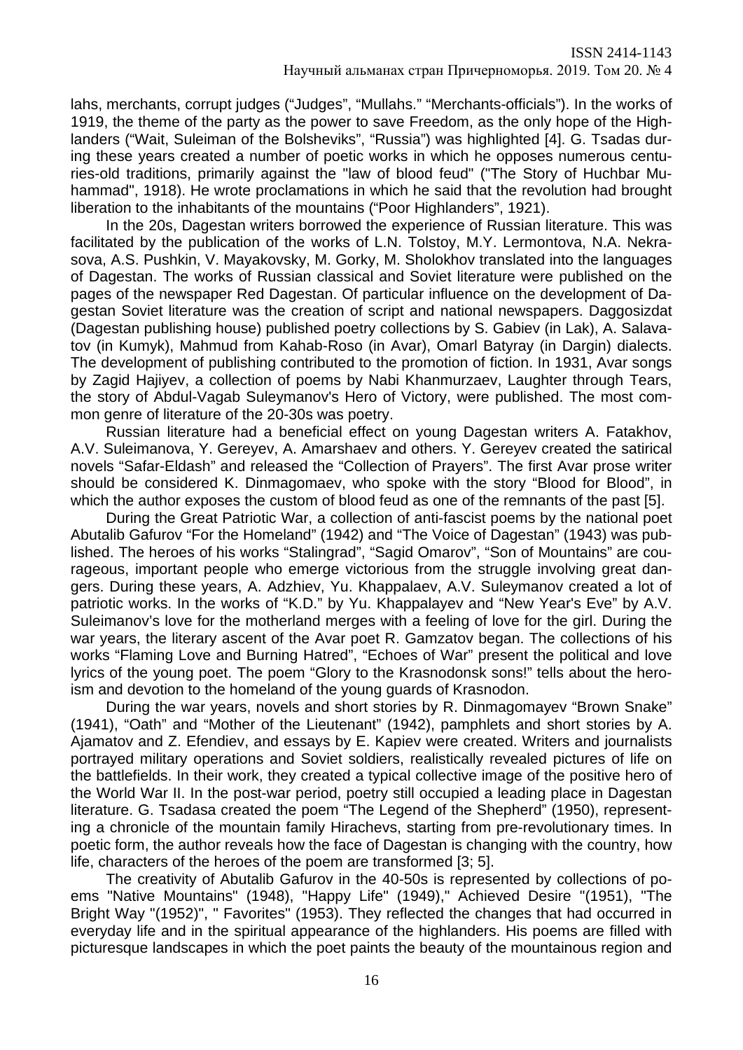lahs, merchants, corrupt judges ("Judges", "Mullahs." "Merchants-officials"). In the works of 1919, the theme of the party as the power to save Freedom, as the only hope of the Highlanders ("Wait, Suleiman of the Bolsheviks", "Russia") was highlighted [4]. G. Tsadas during these years created a number of poetic works in which he opposes numerous centuries-old traditions, primarily against the "law of blood feud" ("The Story of Huchbar Muhammad", 1918). He wrote proclamations in which he said that the revolution had brought liberation to the inhabitants of the mountains ("Poor Highlanders", 1921).

In the 20s, Dagestan writers borrowed the experience of Russian literature. This was facilitated by the publication of the works of L.N. Tolstoy, M.Y. Lermontova, N.A. Nekrasova, A.S. Pushkin, V. Mayakovsky, M. Gorky, M. Sholokhov translated into the languages of Dagestan. The works of Russian classical and Soviet literature were published on the pages of the newspaper Red Dagestan. Of particular influence on the development of Dagestan Soviet literature was the creation of script and national newspapers. Daggosizdat (Dagestan publishing house) published poetry collections by S. Gabiev (in Lak), A. Salavatov (in Kumyk), Mahmud from Kahab-Roso (in Avar), Omarl Batyray (in Dargin) dialects. The development of publishing contributed to the promotion of fiction. In 1931, Avar songs by Zagid Hajiyev, a collection of poems by Nabi Khanmurzaev, Laughter through Tears, the story of Abdul-Vagab Suleymanov's Hero of Victory, were published. The most common genre of literature of the 20-30s was poetry.

Russian literature had a beneficial effect on young Dagestan writers A. Fatakhov, A.V. Suleimanova, Y. Gereyev, A. Amarshaev and others. Y. Gereyev created the satirical novels "Safar-Eldash" and released the "Collection of Prayers". The first Avar prose writer should be considered K. Dinmagomaev, who spoke with the story "Blood for Blood", in which the author exposes the custom of blood feud as one of the remnants of the past [5].

During the Great Patriotic War, a collection of anti-fascist poems by the national poet Abutalib Gafurov "For the Homeland" (1942) and "The Voice of Dagestan" (1943) was published. The heroes of his works "Stalingrad", "Sagid Omarov", "Son of Mountains" are courageous, important people who emerge victorious from the struggle involving great dangers. During these years, A. Adzhiev, Yu. Khappalaev, A.V. Suleymanov created a lot of patriotic works. In the works of "K.D." by Yu. Khappalayev and "New Year's Eve" by A.V. Suleimanov's love for the motherland merges with a feeling of love for the girl. During the war years, the literary ascent of the Avar poet R. Gamzatov began. The collections of his works "Flaming Love and Burning Hatred", "Echoes of War" present the political and love lyrics of the young poet. The poem "Glory to the Krasnodonsk sons!" tells about the heroism and devotion to the homeland of the young guards of Krasnodon.

During the war years, novels and short stories by R. Dinmagomayev "Brown Snake" (1941), "Oath" and "Mother of the Lieutenant" (1942), pamphlets and short stories by A. Ajamatov and Z. Efendiev, and essays by E. Kapiev were created. Writers and journalists portrayed military operations and Soviet soldiers, realistically revealed pictures of life on the battlefields. In their work, they created a typical collective image of the positive hero of the World War II. In the post-war period, poetry still occupied a leading place in Dagestan literature. G. Tsadasa created the poem "The Legend of the Shepherd" (1950), representing a chronicle of the mountain family Hirachevs, starting from pre-revolutionary times. In poetic form, the author reveals how the face of Dagestan is changing with the country, how life, characters of the heroes of the poem are transformed [3; 5].

The creativity of Abutalib Gafurov in the 40-50s is represented by collections of poems "Native Mountains" (1948), "Happy Life" (1949)," Achieved Desire "(1951), "The Bright Way "(1952)", " Favorites" (1953). They reflected the changes that had occurred in everyday life and in the spiritual appearance of the highlanders. His poems are filled with picturesque landscapes in which the poet paints the beauty of the mountainous region and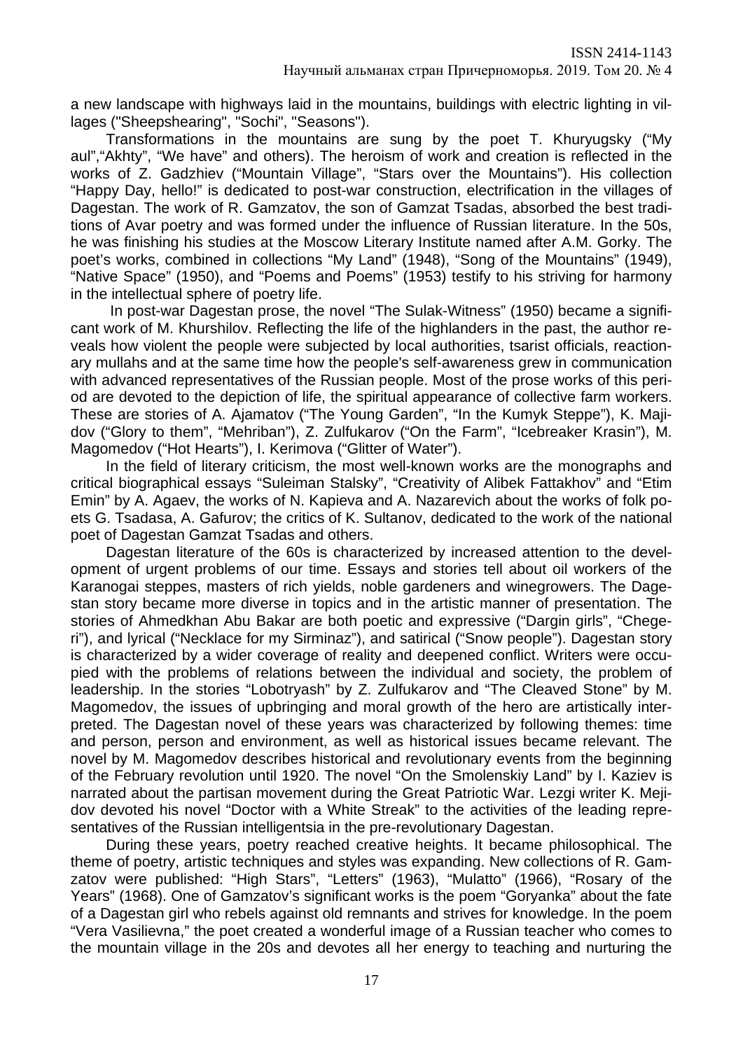a new landscape with highways laid in the mountains, buildings with electric lighting in villages ("Sheepshearing", "Sochi", "Seasons").

Transformations in the mountains are sung by the poet T. Khuryugsky ("My aul","Akhty", "We have" and others). The heroism of work and creation is reflected in the works of Z. Gadzhiev ("Mountain Village", "Stars over the Mountains"). His collection "Happy Day, hello!" is dedicated to post-war construction, electrification in the villages of Dagestan. The work of R. Gamzatov, the son of Gamzat Tsadas, absorbed the best traditions of Avar poetry and was formed under the influence of Russian literature. In the 50s, he was finishing his studies at the Moscow Literary Institute named after A.M. Gorky. The poet's works, combined in collections "My Land" (1948), "Song of the Mountains" (1949), "Native Space" (1950), and "Poems and Poems" (1953) testify to his striving for harmony in the intellectual sphere of poetry life.

In post-war Dagestan prose, the novel "The Sulak-Witness" (1950) became a significant work of M. Khurshilov. Reflecting the life of the highlanders in the past, the author reveals how violent the people were subjected by local authorities, tsarist officials, reactionary mullahs and at the same time how the people's self-awareness grew in communication with advanced representatives of the Russian people. Most of the prose works of this period are devoted to the depiction of life, the spiritual appearance of collective farm workers. These are stories of A. Ajamatov ("The Young Garden", "In the Kumyk Steppe"), K. Majidov ("Glory to them", "Mehriban"), Z. Zulfukarov ("On the Farm", "Icebreaker Krasin"), M. Magomedov ("Hot Hearts"), I. Kerimova ("Glitter of Water").

In the field of literary criticism, the most well-known works are the monographs and critical biographical essays "Suleiman Stalsky", "Creativity of Alibek Fattakhov" and "Etim Emin" by A. Agaev, the works of N. Kapieva and A. Nazarevich about the works of folk poets G. Tsadasa, A. Gafurov; the critics of K. Sultanov, dedicated to the work of the national poet of Dagestan Gamzat Tsadas and others.

Dagestan literature of the 60s is characterized by increased attention to the development of urgent problems of our time. Essays and stories tell about oil workers of the Karanogai steppes, masters of rich yields, noble gardeners and winegrowers. The Dagestan story became more diverse in topics and in the artistic manner of presentation. The stories of Ahmedkhan Abu Bakar are both poetic and expressive ("Dargin girls", "Chegeri"), and lyrical ("Necklace for my Sirminaz"), and satirical ("Snow people"). Dagestan story is characterized by a wider coverage of reality and deepened conflict. Writers were occupied with the problems of relations between the individual and society, the problem of leadership. In the stories "Lobotryash" by Z. Zulfukarov and "The Cleaved Stone" by M. Magomedov, the issues of upbringing and moral growth of the hero are artistically interpreted. The Dagestan novel of these years was characterized by following themes: time and person, person and environment, as well as historical issues became relevant. The novel by M. Magomedov describes historical and revolutionary events from the beginning of the February revolution until 1920. The novel "On the Smolenskiy Land" by I. Kaziev is narrated about the partisan movement during the Great Patriotic War. Lezgi writer K. Mejidov devoted his novel "Doctor with a White Streak" to the activities of the leading representatives of the Russian intelligentsia in the pre-revolutionary Dagestan.

During these years, poetry reached creative heights. It became philosophical. The theme of poetry, artistic techniques and styles was expanding. New collections of R. Gamzatov were published: "High Stars", "Letters" (1963), "Mulatto" (1966), "Rosary of the Years" (1968). One of Gamzatov's significant works is the poem "Goryanka" about the fate of a Dagestan girl who rebels against old remnants and strives for knowledge. In the poem "Vera Vasilievna," the poet created a wonderful image of a Russian teacher who comes to the mountain village in the 20s and devotes all her energy to teaching and nurturing the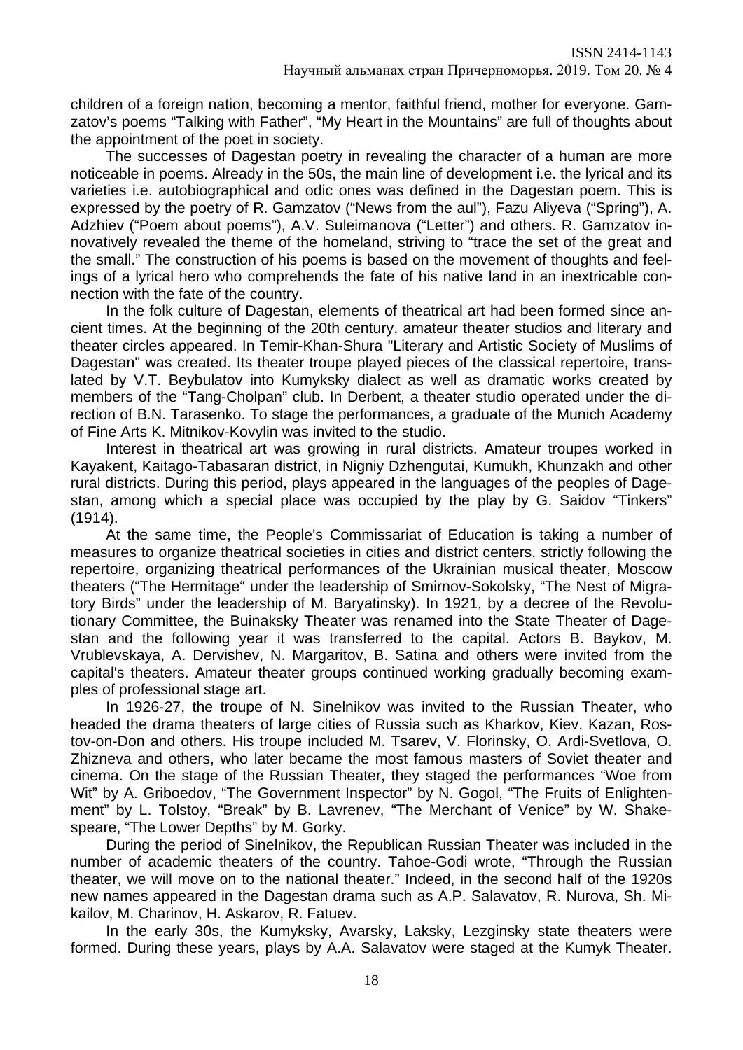children of a foreign nation, becoming a mentor, faithful friend, mother for everyone. Gamzatov's poems "Talking with Father", "My Heart in the Mountains" are full of thoughts about the appointment of the poet in society.

The successes of Dagestan poetry in revealing the character of a human are more noticeable in poems. Already in the 50s, the main line of development i.e. the lyrical and its varieties i.e. autobiographical and odic ones was defined in the Dagestan poem. This is expressed by the poetry of R. Gamzatov ("News from the aul"), Fazu Aliyeva ("Spring"), A. Adzhiev ("Poem about poems"), A.V. Suleimanova ("Letter") and others. R. Gamzatov innovatively revealed the theme of the homeland, striving to "trace the set of the great and the small." The construction of his poems is based on the movement of thoughts and feelings of a lyrical hero who comprehends the fate of his native land in an inextricable connection with the fate of the country.

In the folk culture of Dagestan, elements of theatrical art had been formed since ancient times. At the beginning of the 20th century, amateur theater studios and literary and theater circles appeared. In Temir-Khan-Shura "Literary and Artistic Society of Muslims of Dagestan" was created. Its theater troupe played pieces of the classical repertoire, translated by V.T. Beybulatov into Kumyksky dialect as well as dramatic works created by members of the "Tang-Cholpan" club. In Derbent, a theater studio operated under the direction of B.N. Tarasenko. To stage the performances, a graduate of the Munich Academy of Fine Arts K. Mitnikov-Kovylin was invited to the studio.

Interest in theatrical art was growing in rural districts. Amateur troupes worked in Kayakent, Kaitago-Tabasaran district, in Nigniy Dzhengutai, Kumukh, Khunzakh and other rural districts. During this period, plays appeared in the languages of the peoples of Dagestan, among which a special place was occupied by the play by G. Saidov "Tinkers" (1914).

At the same time, the People's Commissariat of Education is taking a number of measures to organize theatrical societies in cities and district centers, strictly following the repertoire, organizing theatrical performances of the Ukrainian musical theater, Moscow theaters ("The Hermitage" under the leadership of Smirnov-Sokolsky, "The Nest of Migratory Birds" under the leadership of M. Baryatinsky). In 1921, by a decree of the Revolutionary Committee, the Buinaksky Theater was renamed into the State Theater of Dagestan and the following year it was transferred to the capital. Actors B. Baykov, M. Vrublevskaya, A. Dervishev, N. Margaritov, B. Satina and others were invited from the capital's theaters. Amateur theater groups continued working gradually becoming examples of professional stage art.

In 1926-27, the troupe of N. Sinelnikov was invited to the Russian Theater, who headed the drama theaters of large cities of Russia such as Kharkov, Kiev, Kazan, Rostov-on-Don and others. His troupe included M. Tsarev, V. Florinsky, O. Ardi-Svetlova, O. Zhizneva and others, who later became the most famous masters of Soviet theater and cinema. On the stage of the Russian Theater, they staged the performances "Woe from Wit" by A. Griboedov, "The Government Inspector" by N. Gogol, "The Fruits of Enlightenment" by L. Tolstoy, "Break" by B. Lavrenev, "The Merchant of Venice" by W. Shakespeare, "The Lower Depths" by M. Gorky.

During the period of Sinelnikov, the Republican Russian Theater was included in the number of academic theaters of the country. Tahoe-Godi wrote, "Through the Russian theater, we will move on to the national theater." Indeed, in the second half of the 1920s new names appeared in the Dagestan drama such as A.P. Salavatov, R. Nurova, Sh. Mikailov, M. Charinov, H. Askarov, R. Fatuev.

In the early 30s, the Kumyksky, Avarsky, Laksky, Lezginsky state theaters were formed. During these years, plays by A.A. Salavatov were staged at the Kumyk Theater.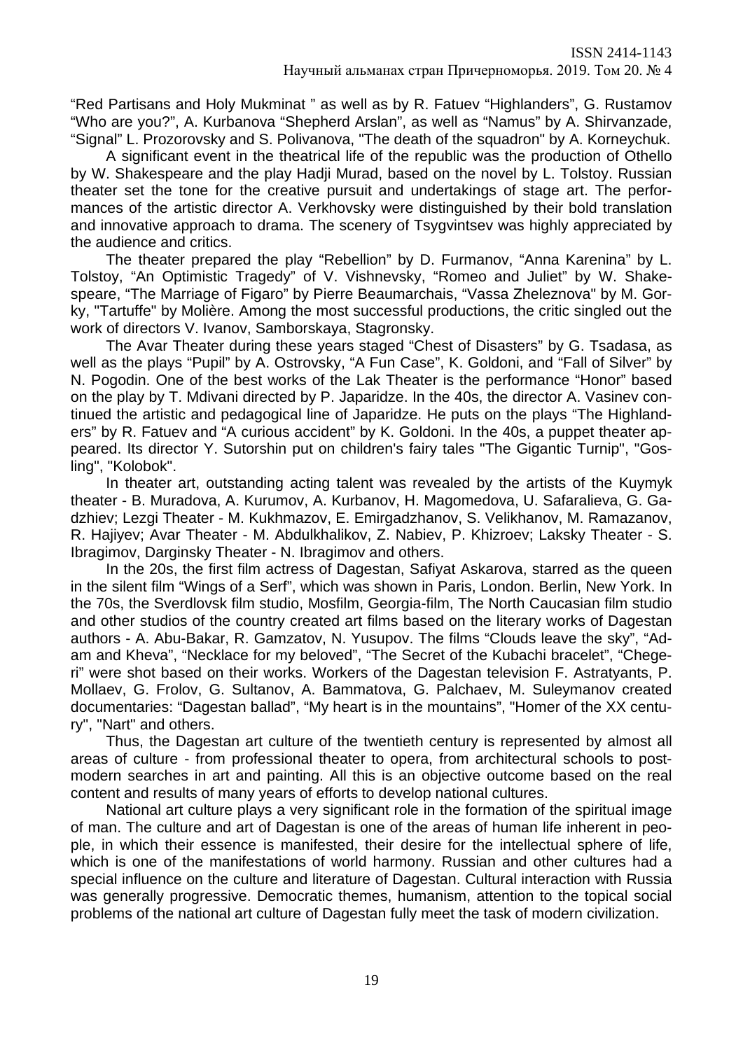"Red Partisans and Holy Mukminat " as well as by R. Fatuev "Highlanders", G. Rustamov "Who are you?", A. Kurbanova "Shepherd Arslan", as well as "Namus" by A. Shirvanzade, "Signal" L. Prozorovsky and S. Polivanova, "The death of the squadron" by A. Korneychuk.

A significant event in the theatrical life of the republic was the production of Othello by W. Shakespeare and the play Hadji Murad, based on the novel by L. Tolstoy. Russian theater set the tone for the creative pursuit and undertakings of stage art. The performances of the artistic director A. Verkhovsky were distinguished by their bold translation and innovative approach to drama. The scenery of Tsygvintsev was highly appreciated by the audience and critics.

The theater prepared the play "Rebellion" by D. Furmanov, "Anna Karenina" by L. Tolstoy, "An Optimistic Tragedy" of V. Vishnevsky, "Romeo and Juliet" by W. Shakespeare, "The Marriage of Figaro" by Pierre Beaumarchais, "Vassa Zheleznova" by M. Gorky, "Tartuffe" by Molière. Among the most successful productions, the critic singled out the work of directors V. Ivanov, Samborskaya, Stagronsky.

The Avar Theater during these years staged "Chest of Disasters" by G. Tsadasa, as well as the plays "Pupil" by A. Ostrovsky, "A Fun Case", K. Goldoni, and "Fall of Silver" by N. Pogodin. One of the best works of the Lak Theater is the performance "Honor" based on the play by T. Mdivani directed by P. Japaridze. In the 40s, the director A. Vasinev continued the artistic and pedagogical line of Japaridze. He puts on the plays "The Highlanders" by R. Fatuev and "A curious accident" by K. Goldoni. In the 40s, a puppet theater appeared. Its director Y. Sutorshin put on children's fairy tales "The Gigantic Turnip", "Gosling", "Kolobok".

In theater art, outstanding acting talent was revealed by the artists of the Kuymyk theater - B. Muradova, A. Kurumov, A. Kurbanov, H. Magomedova, U. Safaralieva, G. Gadzhiev; Lezgi Theater - M. Kukhmazov, E. Emirgadzhanov, S. Velikhanov, M. Ramazanov, R. Hajiyev; Avar Theater - M. Abdulkhalikov, Z. Nabiev, P. Khizroev; Laksky Theater - S. Ibragimov, Darginsky Theater - N. Ibragimov and others.

In the 20s, the first film actress of Dagestan, Safiyat Askarova, starred as the queen in the silent film "Wings of a Serf", which was shown in Paris, London. Berlin, New York. In the 70s, the Sverdlovsk film studio, Mosfilm, Georgia-film, The North Caucasian film studio and other studios of the country created art films based on the literary works of Dagestan authors - A. Abu-Bakar, R. Gamzatov, N. Yusupov. The films "Clouds leave the sky", "Adam and Kheva", "Necklace for my beloved", "The Secret of the Kubachi bracelet", "Chegeri" were shot based on their works. Workers of the Dagestan television F. Astratyants, P. Mollaev, G. Frolov, G. Sultanov, A. Bammatova, G. Palchaev, M. Suleymanov created documentaries: "Dagestan ballad", "My heart is in the mountains", "Homer of the XX century", "Nart" and others.

Thus, the Dagestan art culture of the twentieth century is represented by almost all areas of culture - from professional theater to opera, from architectural schools to postmodern searches in art and painting. All this is an objective outcome based on the real content and results of many years of efforts to develop national cultures.

National art culture plays a very significant role in the formation of the spiritual image of man. The culture and art of Dagestan is one of the areas of human life inherent in people, in which their essence is manifested, their desire for the intellectual sphere of life, which is one of the manifestations of world harmony. Russian and other cultures had a special influence on the culture and literature of Dagestan. Cultural interaction with Russia was generally progressive. Democratic themes, humanism, attention to the topical social problems of the national art culture of Dagestan fully meet the task of modern civilization.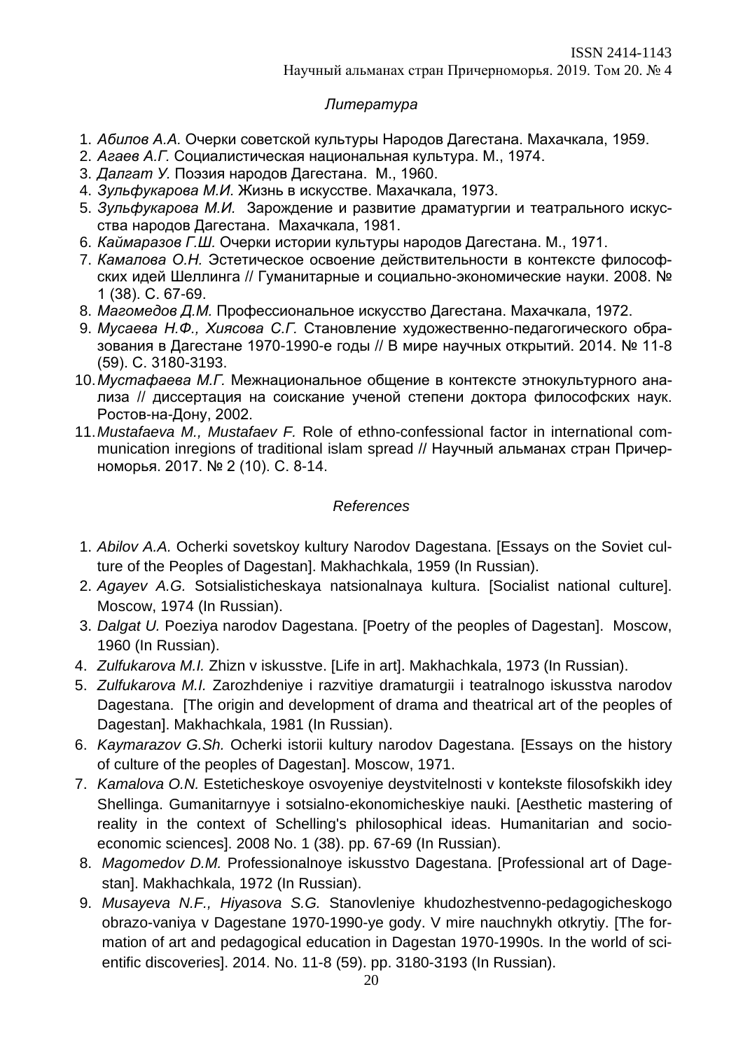## *Литература*

- 1. *Абилов A.A.* Очерки советской культуры Народов Дагестана. Махачкала, 1959.
- 2. *Агаев А.Г.* Социалистическая национальная культура. М., 1974.
- 3. *Далгат У.* Поэзия народов Дагестана. М., 1960.
- 4. *Зульфукарова М.И.* Жизнь в искусстве. Махачкала, 1973.
- 5. *Зульфукарова М.И.* Зарождение и развитие драматургии и театрального искусства народов Дагестана. Махачкала, 1981.
- 6. *Каймаразов Г.Ш.* Очерки истории культуры народов Дагестана. М., 1971.
- 7. *Камалова О.Н.* Эстетическое освоение действительности в контексте философских идей Шеллинга // Гуманитарные и социально-экономические науки. 2008. № 1 (38). С. 67-69.
- 8. *Магомедов Д.М.* Профессиональное искусство Дагестана. Махачкала, 1972.
- 9. *Мусаева Н.Ф., Хиясова С.Г.* Становление художественно-педагогического образования в Дагестане 1970-1990-е годы // В мире научных открытий. 2014. № 11-8 (59). С. 3180-3193.
- 10.*Мустафаева М.Г.* Межнациональное общение в контексте этнокультурного анализа // диссертация на соискание ученой степени доктора философских наук. Ростов-на-Дону, 2002.
- 11.*Mustafaeva M., Mustafaev F.* Role of ethno-confessional factor in international communication inregions of traditional islam spread // Научный альманах стран Причерноморья. 2017. № 2 (10). С. 8-14.

### *References*

- 1. *Abilov A.A.* Ocherki sovetskoy kultury Narodov Dagestana. [Essays on the Soviet culture of the Peoples of Dagestan]. Makhachkala, 1959 (In Russian).
- 2. *Agayev A.G.* Sotsialisticheskaya natsionalnaya kultura. [Socialist national culture]. Moscow, 1974 (In Russian).
- 3. *Dalgat U.* Poeziya narodov Dagestana. [Poetry of the peoples of Dagestan]. Moscow, 1960 (In Russian).
- 4. *Zulfukarova M.I.* Zhizn v iskusstve. [Life in art]. Makhachkala, 1973 (In Russian).
- 5. *Zulfukarova M.I.* Zarozhdeniye i razvitiye dramaturgii i teatralnogo iskusstva narodov Dagestana. [The origin and development of drama and theatrical art of the peoples of Dagestan]. Makhachkala, 1981 (In Russian).
- 6. *Kaymarazov G.Sh.* Ocherki istorii kultury narodov Dagestana. [Essays on the history of culture of the peoples of Dagestan]. Moscow, 1971.
- 7. *Kamalova O.N.* Esteticheskoye osvoyeniye deystvitelnosti v kontekste filosofskikh idey Shellinga. Gumanitarnyye i sotsialno-ekonomicheskiye nauki. [Aesthetic mastering of reality in the context of Schelling's philosophical ideas. Humanitarian and socioeconomic sciences]. 2008 No. 1 (38). pp. 67-69 (In Russian).
- 8. *Magomedov D.M.* Professionalnoye iskusstvo Dagestana. [Professional art of Dagestan]. Makhachkala, 1972 (In Russian).
- 9. *Musayeva N.F., Hiyasova S.G.* Stanovleniye khudozhestvenno-pedagogicheskogo obrazo-vaniya v Dagestane 1970-1990-ye gody. V mire nauchnykh otkrytiy. [The formation of art and pedagogical education in Dagestan 1970-1990s. In the world of scientific discoveries]. 2014. No. 11-8 (59). pp. 3180-3193 (In Russian).